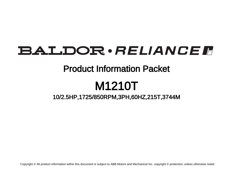# BALDOR · RELIANCE F

## Product Information Packet

# M1210T

10/2.5HP,1725/850RPM,3PH,60HZ,215T,3744M

Copyright © All product information within this document is subject to ABB Motors and Mechanical Inc. copyright © protection, unless otherwise noted.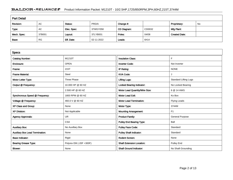### BALDOR · RELIANCE F Product Information Packet: M1210T - 10/2.5HP,1725/850RPM,3PH,60HZ,215T,3744M

| <b>Part Detail</b> |           |             |            |             |        |                      |    |
|--------------------|-----------|-------------|------------|-------------|--------|----------------------|----|
| Revision:          | AC        | Status:     | PRD/A      | Change #:   |        | Proprietary:         | No |
| Type:              | AC        | Elec. Spec: | 37WGY058   | CD Diagram: | CD0032 | Mfg Plant:           |    |
| Mech. Spec:        | 37B001    | Layout:     | 37LYB001   | Poles:      | 04/08  | <b>Created Date:</b> |    |
| Base:              | <b>RG</b> | Eff. Date:  | 02-11-2022 | Leads:      | 6#14   |                      |    |

| <b>Specs</b>                           |                         |                                  |                              |
|----------------------------------------|-------------------------|----------------------------------|------------------------------|
| <b>Catalog Number:</b>                 | M1210T                  | <b>Insulation Class:</b>         | F                            |
| Enclosure:                             | <b>OPEN</b>             | <b>Inverter Code:</b>            | Not Inverter                 |
| Frame:                                 | 215T                    | IP Rating:                       | <b>NONE</b>                  |
| <b>Frame Material:</b>                 | Steel                   | <b>KVA Code:</b>                 | J                            |
| Motor Letter Type:                     | Three Phase             | <b>Lifting Lugs:</b>             | <b>Standard Lifting Lugs</b> |
| Output @ Frequency:                    | 10.000 HP @ 60 HZ       | <b>Locked Bearing Indicator:</b> | No Locked Bearing            |
|                                        | 2.500 HP @ 60 HZ        | Motor Lead Quantity/Wire Size:   | 6 @ 14 AWG                   |
| Synchronous Speed @ Frequency:         | 1800 RPM @ 60 HZ        | <b>Motor Lead Exit:</b>          | Ko Box                       |
| Voltage @ Frequency:                   | 460.0 V @ 60 HZ         | <b>Motor Lead Termination:</b>   | <b>Flying Leads</b>          |
| XP Class and Group:                    | None                    | Motor Type:                      | 3744M                        |
| <b>XP Division:</b>                    | Not Applicable          | <b>Mounting Arrangement:</b>     | F <sub>1</sub>               |
| <b>Agency Approvals:</b>               | <b>UR</b>               | <b>Product Family:</b>           | <b>General Purpose</b>       |
|                                        | <b>CSA</b>              | <b>Pulley End Bearing Type:</b>  | Ball                         |
| <b>Auxillary Box:</b>                  | No Auxillary Box        | <b>Pulley Face Code:</b>         | Standard                     |
| <b>Auxillary Box Lead Termination:</b> | None                    | <b>Pulley Shaft Indicator:</b>   | Standard                     |
| <b>Base Indicator:</b>                 | Rigid                   | <b>Rodent Screen:</b>            | None                         |
| <b>Bearing Grease Type:</b>            | Polyrex EM (-20F +300F) | <b>Shaft Extension Location:</b> | <b>Pulley End</b>            |
| Blower:                                | None                    | <b>Shaft Ground Indicator:</b>   | No Shaft Grounding           |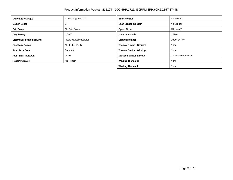| Current @ Voltage:                    | 13,000 A @ 460.0 V        | <b>Shaft Rotation:</b>             | Reversible          |
|---------------------------------------|---------------------------|------------------------------------|---------------------|
| Design Code:                          | в                         | <b>Shaft Slinger Indicator:</b>    | No Slinger          |
| Drip Cover:                           | No Drip Cover             | <b>Speed Code:</b>                 | 2S-1W-VT            |
| Duty Rating:                          | <b>CONT</b>               | <b>Motor Standards:</b>            | <b>NEMA</b>         |
| <b>Electrically Isolated Bearing:</b> | Not Electrically Isolated | <b>Starting Method:</b>            | Direct on line      |
| <b>Feedback Device:</b>               | NO FEEDBACK               | Thermal Device - Bearing:          | None                |
| <b>Front Face Code:</b>               | Standard                  | Thermal Device - Winding:          | None                |
| <b>Front Shaft Indicator:</b>         | None                      | <b>Vibration Sensor Indicator:</b> | No Vibration Sensor |
| Heater Indicator:                     | No Heater                 | <b>Winding Thermal 1:</b>          | None                |
|                                       |                           | <b>Winding Thermal 2:</b>          | None                |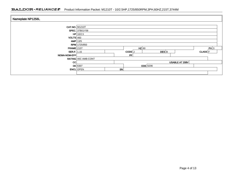### BALDOR · RELIANCE F Product Information Packet: M1210T - 10/2.5HP,1725/850RPM,3PH,60HZ,215T,3744M

| Nameplate NP1256L     |                       |    |                   |                    |                |                    |  |  |  |
|-----------------------|-----------------------|----|-------------------|--------------------|----------------|--------------------|--|--|--|
| <b>CAT.NO.</b> M1210T |                       |    |                   |                    |                |                    |  |  |  |
|                       | <b>SPEC.</b> 37B01Y58 |    |                   |                    |                |                    |  |  |  |
|                       | $HP$ 10/2.5           |    |                   |                    |                |                    |  |  |  |
| $VOLTS$ 460           |                       |    |                   |                    |                |                    |  |  |  |
| $AMP$ 13/5            |                       |    |                   |                    |                |                    |  |  |  |
|                       | RPM 1725/850          |    |                   |                    |                |                    |  |  |  |
| $FRAME$ 215T          |                       |    | $HZ$ 60           |                    |                | PH 3               |  |  |  |
| <b>SER.F.</b> 1.15    |                       |    | CODE <sup>J</sup> | $DES$ <sub>B</sub> |                | CLASS <sup>F</sup> |  |  |  |
| <b>NEMA-NOM-EFF</b>   |                       |    | PF                |                    |                |                    |  |  |  |
|                       | RATING 40C AMB-CONT   |    |                   |                    |                |                    |  |  |  |
| CC                    |                       |    |                   |                    | USABLE AT 208V |                    |  |  |  |
|                       | $DE$ 6307             |    |                   | ODE 6206           |                |                    |  |  |  |
|                       | <b>ENCL</b> OPEN      | SN |                   |                    |                |                    |  |  |  |
|                       |                       |    |                   |                    |                |                    |  |  |  |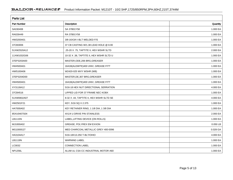| <b>Parts List</b>  |                                          |          |
|--------------------|------------------------------------------|----------|
| <b>Part Number</b> | Description                              | Quantity |
| SA030408           | SA 37B01Y58                              | 1.000 EA |
| RA026449           | RA 37B01Y58                              | 1.000 EA |
| HW3200A01          | 3/8-16X3/4 I-BLT WELDED F/S              | 1.000 EA |
| 37CB3006           | 37 CB CASTING W/1.38 LEAD HOLE @ 6:00    | 1.000 EA |
| 51XW2520A12        | .25-20 X .75, TAPTITE II, HEX WSHR SLTD  | 2.000 EA |
| 11XW1032G06        | 10-32 X .38, TAPTITE II, HEX WSHR SLTD U | 1.000 EA |
| 37EP3203A00        | MASTER, ODE, 206 BRG, GREASER            | 1.000 EA |
| HW4500A01          | 1641B(ALEMITE)400 UNIV, GREASE FITT      | 1.000 EA |
| HW5100A06          | W2420-025 WVY WSHR (WB)                  | 1.000 EA |
| 37EP3204D00        | MASTER, DE, 307 BRG, GREASER             | 1.000 EA |
| HW4500A01          | 1641B(ALEMITE)400 UNIV, GREASE FITT      | 1.000 EA |
| XY3118A12          | 5/16-18 HEX NUT DIRECTIONAL SERRATION    | 4.000 EA |
| 37CB4516           | LIPPED LID FOR 37 FRAME NEC KOBX         | 1.000 EA |
| 51XW0832A07        | 8-32 X .44, TAPTITE II, HEX WSHR SLTD SE | 4.000 EA |
| HW2501F21          | KEY, 5/16 SQ X 2.375                     | 1.000 EA |
| HA7000A02          | KEY RETAINER RING, 1 1/8 DIA, 1 3/8 DIA  | 1.000 EA |
| 85XU0407S04        | 4X1/4 U DRIVE PIN STAINLESS              | 2.000 EA |
| LB1115N            | LABEL, LIFTING DEVICE (ON ROLLS)         | 1.000 EA |
| MJ1000A02          | GREASE, POLYREX EM EXXON                 | 0.050 LB |
| MG1000G27          | MED CHARCOAL METALLIC GREY 400-0096      | 0.028 GA |
| HA3104A17          | 5/16-18X13.250 T-BLT/OHIO                | 4.000 EA |
| LB1119N            | <b>WARNING LABEL</b>                     | 1.000 EA |
| LC0032             | <b>CONNECTION LABEL</b>                  | 1.000 EA |
| <b>NP1256L</b>     | ALUM UL CSA CC INDUSTRIAL MOTOR A60      | 1.000 EA |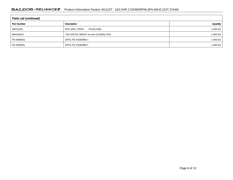| <b>Parts List (continued)</b> |                                         |          |  |  |  |  |
|-------------------------------|-----------------------------------------|----------|--|--|--|--|
| <b>Part Number</b>            | Description                             | Quantity |  |  |  |  |
| 36PA1001                      | PKG GRP, PRINT<br>PK1017A06             | 1.000 EA |  |  |  |  |
| MN416A01                      | TAG-INSTAL-MAINT no wire (2100/bx) 4/22 | 1.000 EA |  |  |  |  |
| PE-0000001                    | <b>ZRTG PE ASSEMBLY</b>                 | 1.000 EA |  |  |  |  |
| FE-0000001                    | <b>ZRTG FE ASSEMBLY</b>                 | 1.000 EA |  |  |  |  |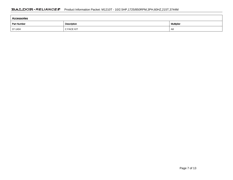| Accessories        |             |            |  |  |  |
|--------------------|-------------|------------|--|--|--|
| <b>Part Number</b> | Description | Multiplier |  |  |  |
| 37-1404            | C FACE KIT  | A8         |  |  |  |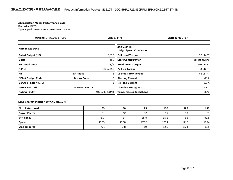#### **AC Induction Motor Performance Data**

#### Record # 12223Typical performance - not guaranteed values

| <b>Winding: 37WGY058-R001</b><br><b>Type: 3744M</b> |                   |              | <b>Enclosure: OPEN</b>                        |                |
|-----------------------------------------------------|-------------------|--------------|-----------------------------------------------|----------------|
| <b>Nameplate Data</b>                               |                   |              | 460 V, 60 Hz:<br><b>High Speed Connection</b> |                |
| <b>Rated Output (HP)</b>                            |                   | 10/2.5       | <b>Full Load Torque</b>                       | 30 LB-FT       |
| <b>Volts</b>                                        |                   | 460          | <b>Start Configuration</b>                    | direct on line |
| <b>Full Load Amps</b>                               |                   | 13/5         | <b>Breakdown Torque</b>                       | 102 LB-FT      |
| <b>R.P.M.</b>                                       |                   | 1725/850     | <b>Pull-up Torque</b>                         | 61 LB-FT       |
| Hz                                                  | 60 Phase          | 3            | <b>Locked-rotor Torque</b>                    | 62 LB-FT       |
| <b>NEMA Design Code</b>                             | <b>B KVA Code</b> |              | <b>Starting Current</b>                       | 83 A           |
| Service Factor (S.F.)                               |                   |              | <b>No-load Current</b>                        | 5.3A           |
| <b>NEMA Nom. Eff.</b>                               | 0 Power Factor    | 0            | Line-line Res. @ 25°C                         | $1.44 \Omega$  |
| <b>Rating - Duty</b>                                |                   | 40C AMB-CONT | Temp. Rise @ Rated Load                       | 76°C           |

#### **Load Characteristics 460 V, 60 Hz, 10 HP**

| % of Rated Load     | 25   | 50   | 75   | 100  | 125  | 150  |
|---------------------|------|------|------|------|------|------|
| <b>Power Factor</b> | 51   | 72   | 82   | 87   | 90   | 91   |
| <b>Efficiency</b>   | 76.3 | 84   | 85.8 | 85.8 | 85   | 83.5 |
| <b>Speed</b>        | 1783 | 1768 | 1752 | 1734 | 1715 | 1694 |
| Line amperes        | 6.1  | 7.8  | 10   | 12.5 | 15.4 | 18.5 |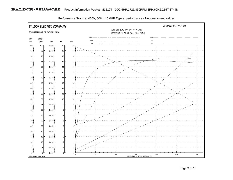

Performance Graph at 460V, 60Hz, 10.0HP Typical performance - Not guaranteed values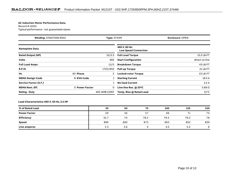#### **AC Induction Motor Performance Data**

#### Record # 12224Typical performance - not guaranteed values

| Winding: 37WGY058-R001<br><b>Type: 3744M</b> |                   |              | <b>Enclosure: OPEN</b>                       |                |
|----------------------------------------------|-------------------|--------------|----------------------------------------------|----------------|
| <b>Nameplate Data</b>                        |                   |              | 460 V, 60 Hz:<br><b>Low Speed Connection</b> |                |
| <b>Rated Output (HP)</b>                     |                   | 10/2.5       | <b>Full Load Torque</b>                      | 15.2 LB-FT     |
| <b>Volts</b>                                 |                   | 460          | <b>Start Configuration</b>                   | direct on line |
| <b>Full Load Amps</b>                        |                   | 13/5         | <b>Breakdown Torque</b>                      | 43 LB-FT       |
| <b>R.P.M.</b>                                |                   | 1725/850     | <b>Pull-up Torque</b>                        | 21 LB-FT       |
| Hz                                           | 60 Phase          | 3            | <b>Locked-rotor Torque</b>                   | 23 LB-FT       |
| <b>NEMA Design Code</b>                      | <b>B KVA Code</b> |              | <b>Starting Current</b>                      | 18.5 A         |
| Service Factor (S.F.)                        |                   |              | <b>No-load Current</b>                       | 3.2A           |
| <b>NEMA Nom. Eff.</b>                        | 0 Power Factor    | 0            | Line-line Res. @ 25°C                        | $5.89\Omega$   |
| <b>Rating - Duty</b>                         |                   | 40C AMB-CONT | Temp. Rise @ Rated Load                      | $51^{\circ}$ C |

#### **Load Characteristics 460 V, 60 Hz, 2.5 HP**

| % of Rated Load     | 25   | 50  | 75   | 100  | 125  | 150 |
|---------------------|------|-----|------|------|------|-----|
| <b>Power Factor</b> | 29   | 45  | 57   | 66   | 71   | 75  |
| <b>Efficiency</b>   | 61.7 | 74  | 78.2 | 79.5 | 79.2 | 78  |
| <b>Speed</b>        | 890  | 882 | 873  | 863  | 852  | 839 |
| <b>Line amperes</b> | 3.3  | 3.6 | 4    | 4.5  | 5.2  | 6   |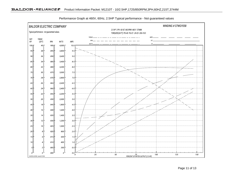

Performance Graph at 460V, 60Hz, 2.5HP Typical performance - Not guaranteed values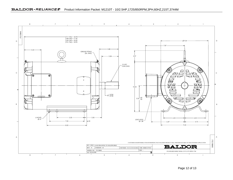

Page 12 of 13